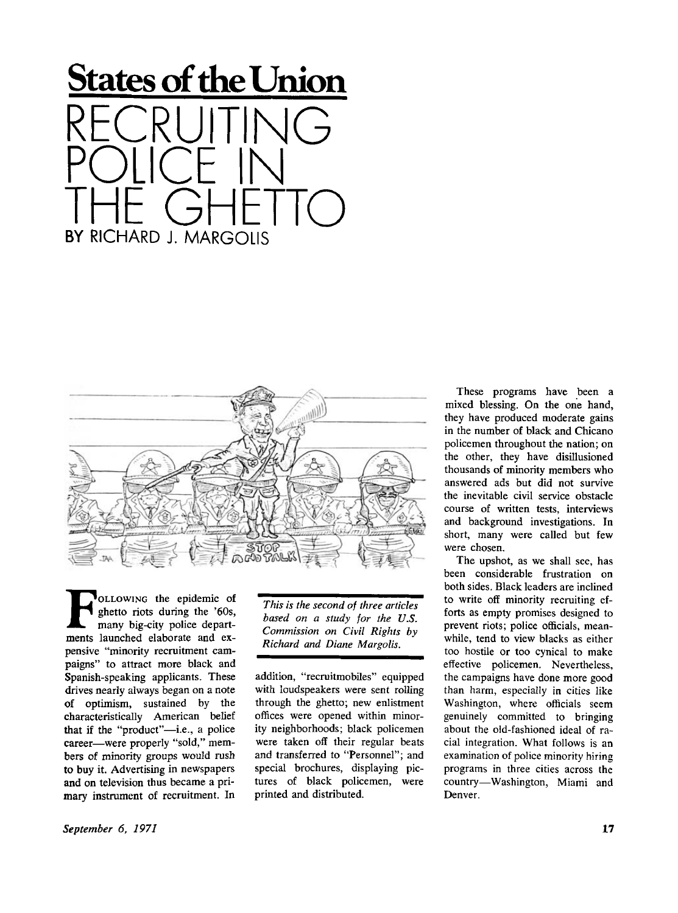



**FR**oLLOWING the epidemic of ghetto riots during the '60s,<br>
many big-city police depart-<br>
ments launched elaborate and ex-OLLOWING the epidemic of ghetto riots during the '60s, many big-city police departpensive "minority recruitment campaigns" to attract more black and Spanish-speaking applicants. These drives nearly always began on a note of optimism, sustained by the characteristically American belief that if the "product"—i.e., a police career—were properly "sold," members of minority groups would rush to buy it. Advertising in newspapers and on television thus became a primary instrument of recruitment. In

*This is the second of three articles based on a study for the U.S. Commission on Civil Rights by Richard and Diane Margolis.* 

addition, "recruitmobiles" equipped with loudspeakers were sent rolling through the ghetto; new enlistment offices were opened within minority neighborhoods; black policemen were taken off their regular beats and transferred to "Personnel"; and special brochures, displaying pictures of black policemen, were printed and distributed.

These programs have been a mixed blessing. On the one hand, they have produced moderate gains in the number of black and Chicano policemen throughout the nation; on the other, they have disillusioned thousands of minority members who answered ads but did not survive the inevitable civil service obstacle course of written tests, interviews and background investigations. In short, many were called but few were chosen.

The upshot, as we shall see, has been considerable frustration on both sides. Black leaders are inclined to write off minority recruiting efforts as empty promises designed to prevent riots; police officials, meanwhile, tend to view blacks as either too hostile or too cynical to make effective policemen. Nevertheless, the campaigns have done more good than harm, especially in cities like Washington, where officials seem genuinely committed to bringing about the old-fashioned ideal of racial integration. What follows is an examination of police minority hiring programs in three cities across the country—Washington, Miami and Denver.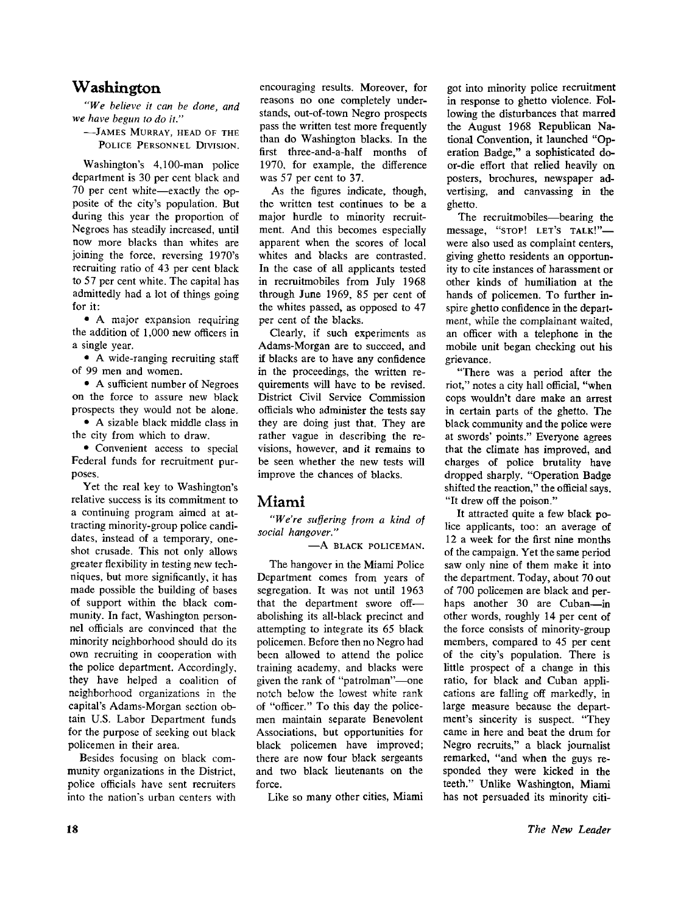## **Washington**

*"We believe it can be done, and we have begun to do it."* 

-JAMES MURRAY, HEAD OF THE POLICE PERSONNEL DIVISION.

Washington's 4,100-man police department is 30 per cent black and 70 per cent white—exactly the opposite of the city's population. But during this year the proportion of Negroes has steadily increased, until now more blacks than whites are joining the force, reversing 1970's recruiting ratio of 43 per cent black to 57 per cent white. The capital has admittedly had a lot of things going for it:

• A major expansion requiring the addition of 1,000 new officers in a single year.

• A wide-ranging recruiting staff of 99 men and women.

• A sufficient number of Negroes on the force to assure new black prospects they would not be alone.

• A sizable black middle class in the city from which to draw.

• Convenient access to special Federal funds for recruitment purposes.

Yet the real key to Washington's relative success is its commitment to a continuing program aimed at attracting minority-group police candidates, instead of a temporary, oneshot crusade. This not only allows greater flexibility in testing new techniques, but more significantly, it has made possible the building of bases of support within the black community. In fact, Washington personnel officials are convinced that the minority neighborhood should do its own recruiting in cooperation with the police department. Accordingly, they have helped a coalition of neighborhood organizations in the capital's Adams-Morgan section obtain U.S. Labor Department funds for the purpose of seeking out black policemen in their area.

Besides focusing on black community organizations in the District, police officials have sent recruiters into the nation's urban centers with

encouraging results. Moreover, for reasons no one completely understands, out-of-town Negro prospects pass the written test more frequently than do Washington blacks. In the first three-and-a-half months of 1970, for example, the difference was 57 per cent to 37.

As the figures indicate, though, the written test continues to be a major hurdle to minority recruitment. And this becomes especially apparent when the scores of local whites and blacks are contrasted. In the case of all applicants tested in recruitmobiles from July 1968 through June 1969, 85 per cent of the whites passed, as opposed to 47 per cent of the blacks.

Clearly, if such experiments as Adams-Morgan are to succeed, and if blacks are to have any confidence in the proceedings, the written requirements will have to be revised. District Civil Service Commission officials who administer the tests say they are doing just that. They are rather vague in describing the revisions, however, and it remains to be seen whether the new tests will improve the chances of blacks.

## **Miami**

*"We're suffering from a kind of social hangover."* 

-A BLACK POLICEMAN.

The hangover in the Miami Police Department comes from years of segregation. It was not until 1963 that the department swore off abolishing its all-black precinct and attempting to integrate its 65 black policemen. Before then no Negro had been allowed to attend the police training academy, and blacks were given the rank of "patrolman"—one notch below the lowest white rank of "officer." To this day the policemen maintain separate Benevolent Associations, but opportunities for black policemen have improved; there are now four black sergeants and two black lieutenants on the force.

Like so many other cities, Miami

got into minority police recruitment in response to ghetto violence. Following the disturbances that marred the August 1968 Republican National Convention, it launched "Operation Badge," a sophisticated door-die effort that relied heavily on posters, brochures, newspaper advertising, and canvassing in the ghetto.

The recruitmobiles—bearing the message, "STOP! LET'S TALK!"were also used as complaint centers, giving ghetto residents an opportunity to cite instances of harassment or other kinds of humiliation at the hands of policemen. To further inspire ghetto confidence in the department, while the complainant waited, an officer with a telephone in the mobile unit began checking out his grievance.

"There was a period after the riot," notes a city hall official, "when cops wouldn't dare make an arrest in certain parts of the ghetto. The black community and the police were at swords' points." Everyone agrees that the climate has improved, and charges of police brutality have dropped sharply. "Operation Badge shifted the reaction," the official says. "It drew off the poison."

It attracted quite a few black police applicants, too: an average of 12 a week for the first nine months of the campaign. Yet the same period saw only nine of them make it into the department. Today, about 70 out of 700 policemen are black and perhaps another 30 are Cuban—in other words, roughly 14 per cent of the force consists of minority-group members, compared to 45 per cent of the city's population. There is little prospect of a change in this ratio, for black and Cuban applications are falling off markedly, in large measure because the department's sincerity is suspect. "They came in here and beat the drum for Negro recruits," a black journalist remarked, "and when the guys responded they were kicked in the teeth." Unlike Washington, Miami has not persuaded its minority citi